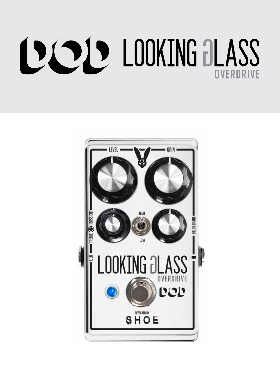## **DODD LOOKING BLASS** VERDRIVE

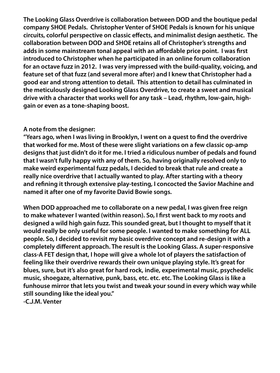**The Looking Glass Overdrive is collaboration between DOD and the boutique pedal company SHOE Pedals. Christopher Venter of SHOE Pedals is known for his unique circuits, colorful perspective on classic effects, and minimalist design aesthetic. The collaboration between DOD and SHOE retains all of Christopher's strengths and adds in some mainstream tonal appeal with an affordable price point. I was first introduced to Christopher when he participated in an online forum collaboration for an octave fuzz in 2012. I was very impressed with the build-quality, voicing, and feature set of that fuzz (and several more after) and I knew that Christopher had a good ear and strong attention to detail. This attention to detail has culminated in the meticulously designed Looking Glass Overdrive, to create a sweet and musical drive with a character that works well for any task – Lead, rhythm, low-gain, highgain or even as a tone-shaping boost.** 

## **A note from the designer:**

**"Years ago, when I was living in Brooklyn, I went on a quest to find the overdrive that worked for me. Most of these were slight variations on a few classic op-amp designs that just didn't do it for me. I tried a ridiculous number of pedals and found that I wasn't fully happy with any of them. So, having originally resolved only to make weird experimental fuzz pedals, I decided to break that rule and create a really nice overdrive that I actually wanted to play. After starting with a theory and refining it through extensive play-testing, I concocted the Savior Machine and named it after one of my favorite David Bowie songs.**

**When DOD approached me to collaborate on a new pedal, I was given free reign to make whatever I wanted (within reason). So, I first went back to my roots and designed a wild high gain fuzz. This sounded great, but I thought to myself that it would really be only useful for some people. I wanted to make something for ALL people. So, I decided to revisit my basic overdrive concept and re-design it with a completely different approach. The result is the Looking Glass. A super-responsive class-A FET design that, I hope will give a whole lot of players the satisfaction of feeling like their overdrive rewards their own unique playing style. It's great for blues, sure, but it's also great for hard rock, indie, experimental music, psychedelic music, shoegaze, alternative, punk, bass, etc. etc. etc. The Looking Glass is like a funhouse mirror that lets you twist and tweak your sound in every which way while still sounding like the ideal you."**

**-C.J.M. Venter**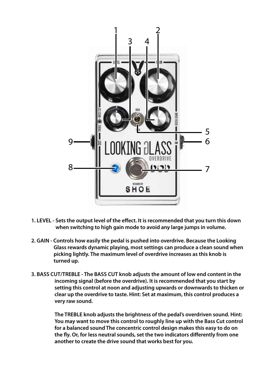

- **1. LEVEL Sets the output level of the effect. It is recommended that you turn this down when switching to high gain mode to avoid any large jumps in volume.**
- **2. GAIN Controls how easily the pedal is pushed into overdrive. Because the Looking Glass rewards dynamic playing, most settings can produce a clean sound when picking lightly. The maximum level of overdrive increases as this knob is turned up.**
- **3. BASS CUT/TREBLE The BASS CUT knob adjusts the amount of low end content in the incoming signal (before the overdrive). It is recommended that you start by setting this control at noon and adjusting upwards or downwards to thicken or clear up the overdrive to taste. Hint: Set at maximum, this control produces a very raw sound.**

**The TREBLE knob adjusts the brightness of the pedal's overdriven sound. Hint: You may want to move this control to roughly line up with the Bass Cut control for a balanced sound The concentric control design makes this easy to do on the fly. Or, for less neutral sounds, set the two indicators differently from one another to create the drive sound that works best for you.**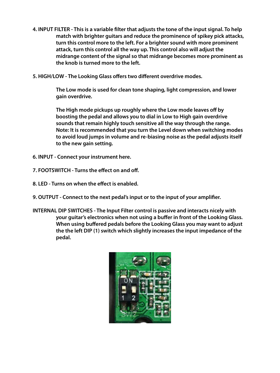- **4. INPUT FILTER This is a variable filter that adjusts the tone of the input signal. To help match with brighter guitars and reduce the prominence of spikey pick attacks, turn this control more to the left. For a brighter sound with more prominent attack, turn this control all the way up. This control also will adjust the midrange content of the signal so that midrange becomes more prominent as the knob is turned more to the left.**
- **5. HIGH/LOW The Looking Glass offers two different overdrive modes.**

**The Low mode is used for clean tone shaping, light compression, and lower gain overdrive.** 

**The High mode pickups up roughly where the Low mode leaves off by boosting the pedal and allows you to dial in Low to High gain overdrive sounds that remain highly touch sensitive all the way through the range. Note: It is recommended that you turn the Level down when switching modes to avoid loud jumps in volume and re-biasing noise as the pedal adjusts itself to the new gain setting.**

- **6. INPUT Connect your instrument here.**
- **7. FOOTSWITCH Turns the effect on and off.**
- **8. LED Turns on when the effect is enabled.**
- **9. OUTPUT Connect to the next pedal's input or to the input of your amplifier.**
- **INTERNAL DIP SWITCHES The Input Filter control is passive and interacts nicely with your guitar's electronics when not using a buffer in front of the Looking Glass. When using buffered pedals before the Looking Glass you may want to adjust the the left DIP (1) switch which slightly increases the input impedance of the pedal.**